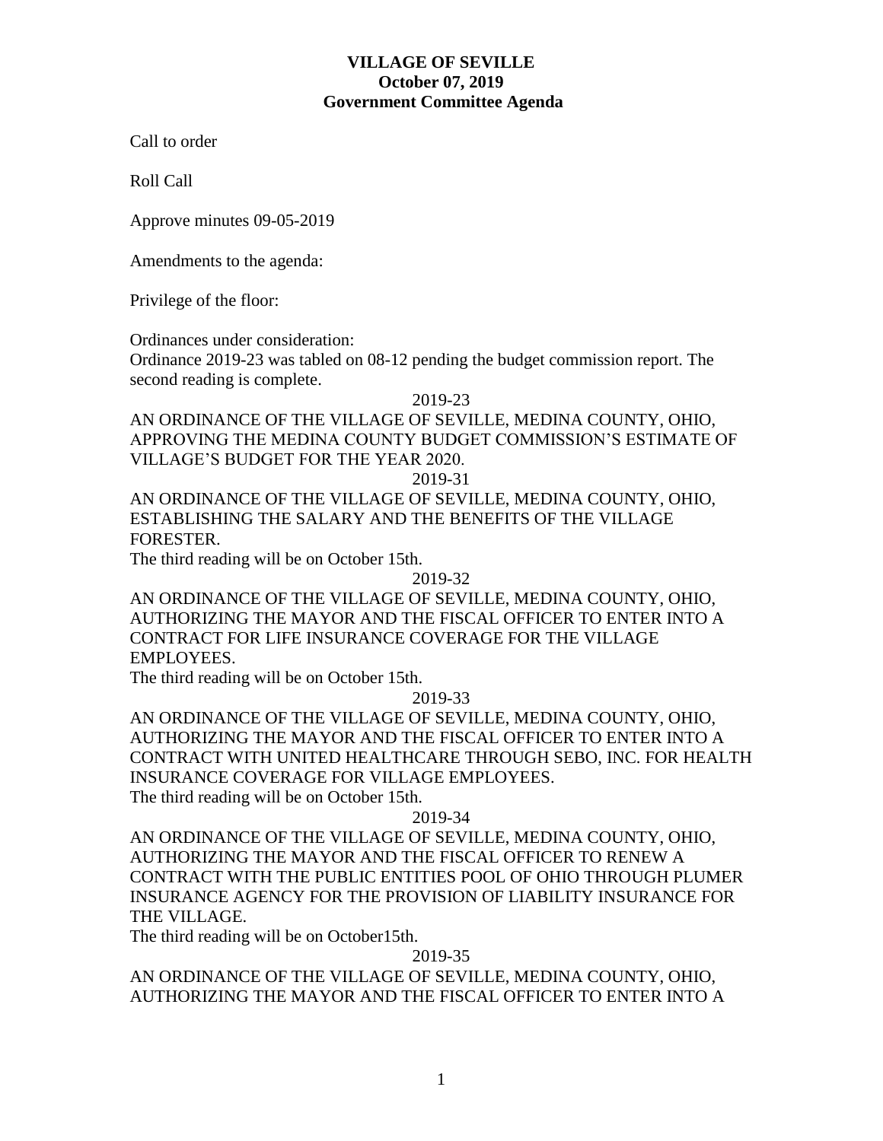Call to order

Roll Call

Approve minutes 09-05-2019

Amendments to the agenda:

Privilege of the floor:

Ordinances under consideration:

Ordinance 2019-23 was tabled on 08-12 pending the budget commission report. The second reading is complete.

2019-23

AN ORDINANCE OF THE VILLAGE OF SEVILLE, MEDINA COUNTY, OHIO, APPROVING THE MEDINA COUNTY BUDGET COMMISSION'S ESTIMATE OF VILLAGE'S BUDGET FOR THE YEAR 2020.

2019-31

AN ORDINANCE OF THE VILLAGE OF SEVILLE, MEDINA COUNTY, OHIO, ESTABLISHING THE SALARY AND THE BENEFITS OF THE VILLAGE FORESTER.

The third reading will be on October 15th.

2019-32

AN ORDINANCE OF THE VILLAGE OF SEVILLE, MEDINA COUNTY, OHIO, AUTHORIZING THE MAYOR AND THE FISCAL OFFICER TO ENTER INTO A CONTRACT FOR LIFE INSURANCE COVERAGE FOR THE VILLAGE EMPLOYEES.

The third reading will be on October 15th.

2019-33

AN ORDINANCE OF THE VILLAGE OF SEVILLE, MEDINA COUNTY, OHIO, AUTHORIZING THE MAYOR AND THE FISCAL OFFICER TO ENTER INTO A CONTRACT WITH UNITED HEALTHCARE THROUGH SEBO, INC. FOR HEALTH INSURANCE COVERAGE FOR VILLAGE EMPLOYEES. The third reading will be on October 15th.

2019-34

AN ORDINANCE OF THE VILLAGE OF SEVILLE, MEDINA COUNTY, OHIO, AUTHORIZING THE MAYOR AND THE FISCAL OFFICER TO RENEW A CONTRACT WITH THE PUBLIC ENTITIES POOL OF OHIO THROUGH PLUMER INSURANCE AGENCY FOR THE PROVISION OF LIABILITY INSURANCE FOR THE VILLAGE.

The third reading will be on October15th.

2019-35

AN ORDINANCE OF THE VILLAGE OF SEVILLE, MEDINA COUNTY, OHIO, AUTHORIZING THE MAYOR AND THE FISCAL OFFICER TO ENTER INTO A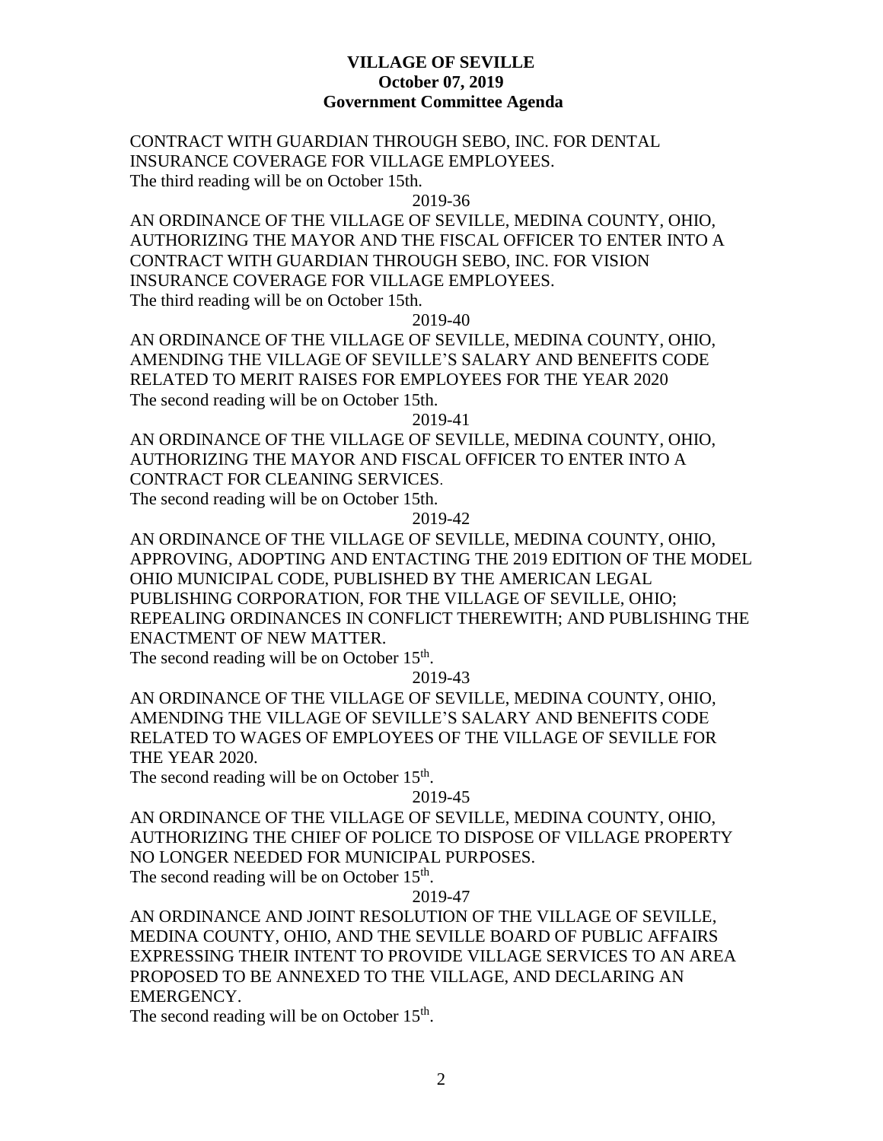CONTRACT WITH GUARDIAN THROUGH SEBO, INC. FOR DENTAL INSURANCE COVERAGE FOR VILLAGE EMPLOYEES. The third reading will be on October 15th.

2019-36

AN ORDINANCE OF THE VILLAGE OF SEVILLE, MEDINA COUNTY, OHIO, AUTHORIZING THE MAYOR AND THE FISCAL OFFICER TO ENTER INTO A CONTRACT WITH GUARDIAN THROUGH SEBO, INC. FOR VISION INSURANCE COVERAGE FOR VILLAGE EMPLOYEES. The third reading will be on October 15th.

2019-40

AN ORDINANCE OF THE VILLAGE OF SEVILLE, MEDINA COUNTY, OHIO, AMENDING THE VILLAGE OF SEVILLE'S SALARY AND BENEFITS CODE RELATED TO MERIT RAISES FOR EMPLOYEES FOR THE YEAR 2020 The second reading will be on October 15th.

2019-41

AN ORDINANCE OF THE VILLAGE OF SEVILLE, MEDINA COUNTY, OHIO, AUTHORIZING THE MAYOR AND FISCAL OFFICER TO ENTER INTO A CONTRACT FOR CLEANING SERVICES. The second reading will be on October 15th.

2019-42

AN ORDINANCE OF THE VILLAGE OF SEVILLE, MEDINA COUNTY, OHIO, APPROVING, ADOPTING AND ENTACTING THE 2019 EDITION OF THE MODEL OHIO MUNICIPAL CODE, PUBLISHED BY THE AMERICAN LEGAL PUBLISHING CORPORATION, FOR THE VILLAGE OF SEVILLE, OHIO; REPEALING ORDINANCES IN CONFLICT THEREWITH; AND PUBLISHING THE ENACTMENT OF NEW MATTER.

The second reading will be on October  $15<sup>th</sup>$ .

2019-43

AN ORDINANCE OF THE VILLAGE OF SEVILLE, MEDINA COUNTY, OHIO, AMENDING THE VILLAGE OF SEVILLE'S SALARY AND BENEFITS CODE RELATED TO WAGES OF EMPLOYEES OF THE VILLAGE OF SEVILLE FOR THE YEAR 2020.

The second reading will be on October  $15<sup>th</sup>$ .

2019-45

AN ORDINANCE OF THE VILLAGE OF SEVILLE, MEDINA COUNTY, OHIO, AUTHORIZING THE CHIEF OF POLICE TO DISPOSE OF VILLAGE PROPERTY NO LONGER NEEDED FOR MUNICIPAL PURPOSES. The second reading will be on October  $15<sup>th</sup>$ .

2019-47

AN ORDINANCE AND JOINT RESOLUTION OF THE VILLAGE OF SEVILLE, MEDINA COUNTY, OHIO, AND THE SEVILLE BOARD OF PUBLIC AFFAIRS EXPRESSING THEIR INTENT TO PROVIDE VILLAGE SERVICES TO AN AREA PROPOSED TO BE ANNEXED TO THE VILLAGE, AND DECLARING AN EMERGENCY.

The second reading will be on October  $15<sup>th</sup>$ .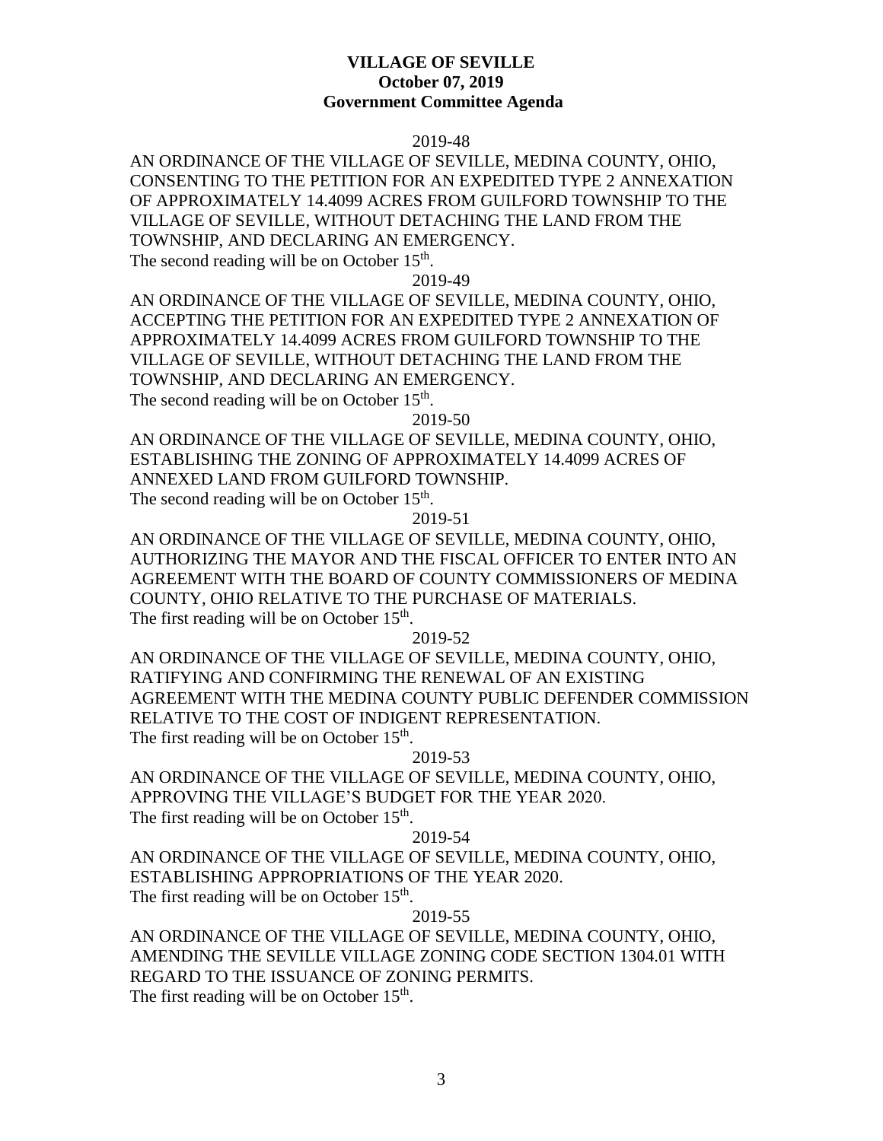### 2019-48

AN ORDINANCE OF THE VILLAGE OF SEVILLE, MEDINA COUNTY, OHIO, CONSENTING TO THE PETITION FOR AN EXPEDITED TYPE 2 ANNEXATION OF APPROXIMATELY 14.4099 ACRES FROM GUILFORD TOWNSHIP TO THE VILLAGE OF SEVILLE, WITHOUT DETACHING THE LAND FROM THE TOWNSHIP, AND DECLARING AN EMERGENCY. The second reading will be on October 15<sup>th</sup>.

2019-49

AN ORDINANCE OF THE VILLAGE OF SEVILLE, MEDINA COUNTY, OHIO, ACCEPTING THE PETITION FOR AN EXPEDITED TYPE 2 ANNEXATION OF APPROXIMATELY 14.4099 ACRES FROM GUILFORD TOWNSHIP TO THE VILLAGE OF SEVILLE, WITHOUT DETACHING THE LAND FROM THE TOWNSHIP, AND DECLARING AN EMERGENCY. The second reading will be on October  $15<sup>th</sup>$ .

2019-50

AN ORDINANCE OF THE VILLAGE OF SEVILLE, MEDINA COUNTY, OHIO, ESTABLISHING THE ZONING OF APPROXIMATELY 14.4099 ACRES OF ANNEXED LAND FROM GUILFORD TOWNSHIP. The second reading will be on October  $15<sup>th</sup>$ .

2019-51

AN ORDINANCE OF THE VILLAGE OF SEVILLE, MEDINA COUNTY, OHIO, AUTHORIZING THE MAYOR AND THE FISCAL OFFICER TO ENTER INTO AN AGREEMENT WITH THE BOARD OF COUNTY COMMISSIONERS OF MEDINA COUNTY, OHIO RELATIVE TO THE PURCHASE OF MATERIALS. The first reading will be on October  $15<sup>th</sup>$ .

2019-52

AN ORDINANCE OF THE VILLAGE OF SEVILLE, MEDINA COUNTY, OHIO, RATIFYING AND CONFIRMING THE RENEWAL OF AN EXISTING AGREEMENT WITH THE MEDINA COUNTY PUBLIC DEFENDER COMMISSION RELATIVE TO THE COST OF INDIGENT REPRESENTATION. The first reading will be on October  $15<sup>th</sup>$ .

2019-53

AN ORDINANCE OF THE VILLAGE OF SEVILLE, MEDINA COUNTY, OHIO, APPROVING THE VILLAGE'S BUDGET FOR THE YEAR 2020. The first reading will be on October 15<sup>th</sup>.

### 2019-54

AN ORDINANCE OF THE VILLAGE OF SEVILLE, MEDINA COUNTY, OHIO, ESTABLISHING APPROPRIATIONS OF THE YEAR 2020. The first reading will be on October  $15<sup>th</sup>$ .

## 2019-55

AN ORDINANCE OF THE VILLAGE OF SEVILLE, MEDINA COUNTY, OHIO, AMENDING THE SEVILLE VILLAGE ZONING CODE SECTION 1304.01 WITH REGARD TO THE ISSUANCE OF ZONING PERMITS. The first reading will be on October  $15<sup>th</sup>$ .